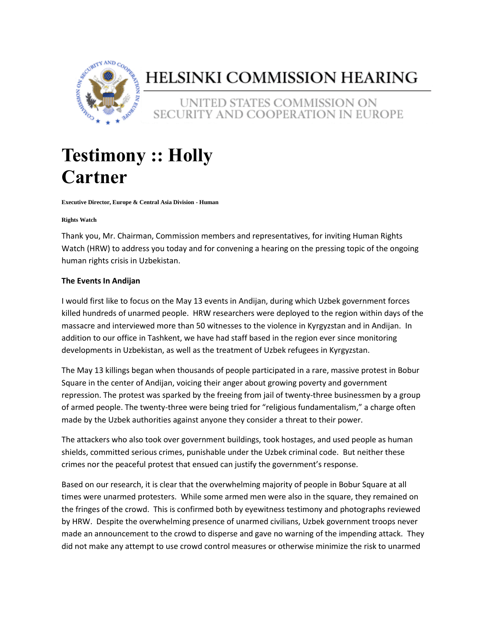

## HELSINKI COMMISSION HEARING

UNITED STATES COMMISSION ON SECURITY AND COOPERATION IN EUROPE

# **Testimony :: Holly Cartner**

**Executive Director, Europe & Central Asia Division - Human** 

#### **Rights Watch**

Thank you, Mr. Chairman, Commission members and representatives, for inviting Human Rights Watch (HRW) to address you today and for convening a hearing on the pressing topic of the ongoing human rights crisis in Uzbekistan.

#### **The Events In Andijan**

I would first like to focus on the May 13 events in Andijan, during which Uzbek government forces killed hundreds of unarmed people. HRW researchers were deployed to the region within days of the massacre and interviewed more than 50 witnesses to the violence in Kyrgyzstan and in Andijan. In addition to our office in Tashkent, we have had staff based in the region ever since monitoring developments in Uzbekistan, as well as the treatment of Uzbek refugees in Kyrgyzstan.

The May 13 killings began when thousands of people participated in a rare, massive protest in Bobur Square in the center of Andijan, voicing their anger about growing poverty and government repression. The protest was sparked by the freeing from jail of twenty-three businessmen by a group of armed people. The twenty-three were being tried for "religious fundamentalism," a charge often made by the Uzbek authorities against anyone they consider a threat to their power.

The attackers who also took over government buildings, took hostages, and used people as human shields, committed serious crimes, punishable under the Uzbek criminal code. But neither these crimes nor the peaceful protest that ensued can justify the government's response.

Based on our research, it is clear that the overwhelming majority of people in Bobur Square at all times were unarmed protesters. While some armed men were also in the square, they remained on the fringes of the crowd. This is confirmed both by eyewitness testimony and photographs reviewed by HRW. Despite the overwhelming presence of unarmed civilians, Uzbek government troops never made an announcement to the crowd to disperse and gave no warning of the impending attack. They did not make any attempt to use crowd control measures or otherwise minimize the risk to unarmed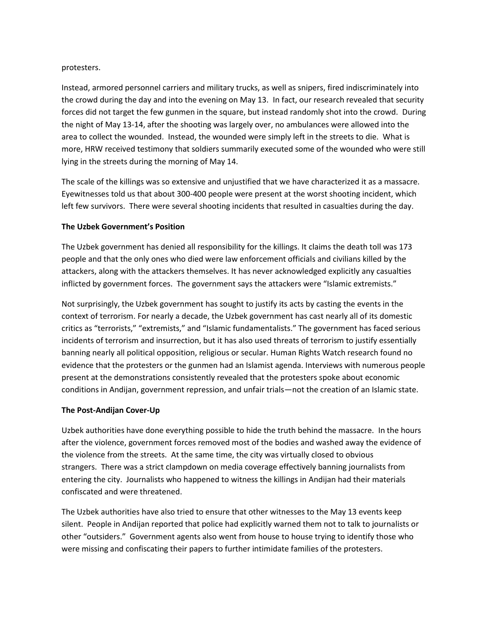#### protesters.

Instead, armored personnel carriers and military trucks, as well as snipers, fired indiscriminately into the crowd during the day and into the evening on May 13. In fact, our research revealed that security forces did not target the few gunmen in the square, but instead randomly shot into the crowd. During the night of May 13-14, after the shooting was largely over, no ambulances were allowed into the area to collect the wounded. Instead, the wounded were simply left in the streets to die. What is more, HRW received testimony that soldiers summarily executed some of the wounded who were still lying in the streets during the morning of May 14.

The scale of the killings was so extensive and unjustified that we have characterized it as a massacre. Eyewitnesses told us that about 300-400 people were present at the worst shooting incident, which left few survivors. There were several shooting incidents that resulted in casualties during the day.

#### **The Uzbek Government's Position**

The Uzbek government has denied all responsibility for the killings. It claims the death toll was 173 people and that the only ones who died were law enforcement officials and civilians killed by the attackers, along with the attackers themselves. It has never acknowledged explicitly any casualties inflicted by government forces. The government says the attackers were "Islamic extremists."

Not surprisingly, the Uzbek government has sought to justify its acts by casting the events in the context of terrorism. For nearly a decade, the Uzbek government has cast nearly all of its domestic critics as "terrorists," "extremists," and "Islamic fundamentalists." The government has faced serious incidents of terrorism and insurrection, but it has also used threats of terrorism to justify essentially banning nearly all political opposition, religious or secular. Human Rights Watch research found no evidence that the protesters or the gunmen had an Islamist agenda. Interviews with numerous people present at the demonstrations consistently revealed that the protesters spoke about economic conditions in Andijan, government repression, and unfair trials—not the creation of an Islamic state.

#### **The Post-Andijan Cover-Up**

Uzbek authorities have done everything possible to hide the truth behind the massacre. In the hours after the violence, government forces removed most of the bodies and washed away the evidence of the violence from the streets. At the same time, the city was virtually closed to obvious strangers. There was a strict clampdown on media coverage effectively banning journalists from entering the city. Journalists who happened to witness the killings in Andijan had their materials confiscated and were threatened.

The Uzbek authorities have also tried to ensure that other witnesses to the May 13 events keep silent. People in Andijan reported that police had explicitly warned them not to talk to journalists or other "outsiders." Government agents also went from house to house trying to identify those who were missing and confiscating their papers to further intimidate families of the protesters.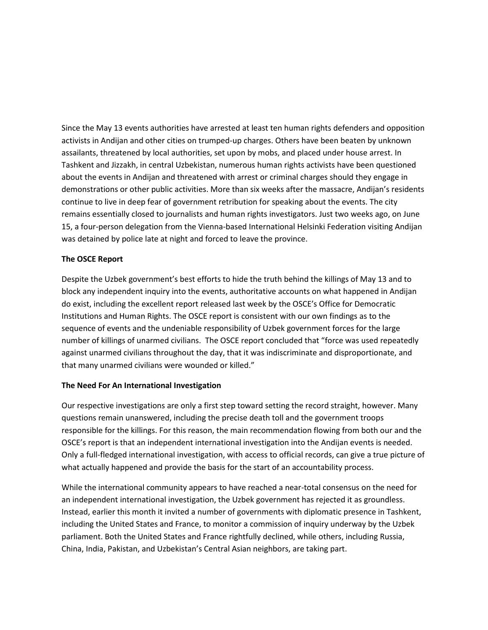Since the May 13 events authorities have arrested at least ten human rights defenders and opposition activists in Andijan and other cities on trumped-up charges. Others have been beaten by unknown assailants, threatened by local authorities, set upon by mobs, and placed under house arrest. In Tashkent and Jizzakh, in central Uzbekistan, numerous human rights activists have been questioned about the events in Andijan and threatened with arrest or criminal charges should they engage in demonstrations or other public activities. More than six weeks after the massacre, Andijan's residents continue to live in deep fear of government retribution for speaking about the events. The city remains essentially closed to journalists and human rights investigators. Just two weeks ago, on June 15, a four-person delegation from the Vienna-based International Helsinki Federation visiting Andijan was detained by police late at night and forced to leave the province.

#### **The OSCE Report**

Despite the Uzbek government's best efforts to hide the truth behind the killings of May 13 and to block any independent inquiry into the events, authoritative accounts on what happened in Andijan do exist, including the excellent report released last week by the OSCE's Office for Democratic Institutions and Human Rights. The OSCE report is consistent with our own findings as to the sequence of events and the undeniable responsibility of Uzbek government forces for the large number of killings of unarmed civilians. The OSCE report concluded that "force was used repeatedly against unarmed civilians throughout the day, that it was indiscriminate and disproportionate, and that many unarmed civilians were wounded or killed."

#### **The Need For An International Investigation**

Our respective investigations are only a first step toward setting the record straight, however. Many questions remain unanswered, including the precise death toll and the government troops responsible for the killings. For this reason, the main recommendation flowing from both our and the OSCE's report is that an independent international investigation into the Andijan events is needed. Only a full-fledged international investigation, with access to official records, can give a true picture of what actually happened and provide the basis for the start of an accountability process.

While the international community appears to have reached a near-total consensus on the need for an independent international investigation, the Uzbek government has rejected it as groundless. Instead, earlier this month it invited a number of governments with diplomatic presence in Tashkent, including the United States and France, to monitor a commission of inquiry underway by the Uzbek parliament. Both the United States and France rightfully declined, while others, including Russia, China, India, Pakistan, and Uzbekistan's Central Asian neighbors, are taking part.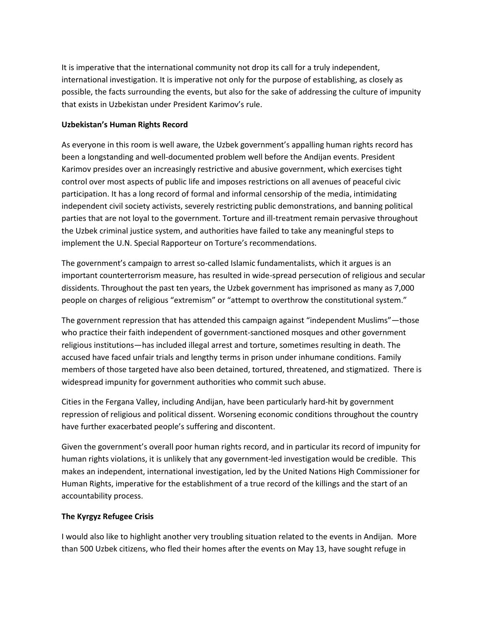It is imperative that the international community not drop its call for a truly independent, international investigation. It is imperative not only for the purpose of establishing, as closely as possible, the facts surrounding the events, but also for the sake of addressing the culture of impunity that exists in Uzbekistan under President Karimov's rule.

#### **Uzbekistan's Human Rights Record**

As everyone in this room is well aware, the Uzbek government's appalling human rights record has been a longstanding and well-documented problem well before the Andijan events. President Karimov presides over an increasingly restrictive and abusive government, which exercises tight control over most aspects of public life and imposes restrictions on all avenues of peaceful civic participation. It has a long record of formal and informal censorship of the media, intimidating independent civil society activists, severely restricting public demonstrations, and banning political parties that are not loyal to the government. Torture and ill-treatment remain pervasive throughout the Uzbek criminal justice system, and authorities have failed to take any meaningful steps to implement the U.N. Special Rapporteur on Torture's recommendations.

The government's campaign to arrest so-called Islamic fundamentalists, which it argues is an important counterterrorism measure, has resulted in wide-spread persecution of religious and secular dissidents. Throughout the past ten years, the Uzbek government has imprisoned as many as 7,000 people on charges of religious "extremism" or "attempt to overthrow the constitutional system."

The government repression that has attended this campaign against "independent Muslims"—those who practice their faith independent of government-sanctioned mosques and other government religious institutions—has included illegal arrest and torture, sometimes resulting in death. The accused have faced unfair trials and lengthy terms in prison under inhumane conditions. Family members of those targeted have also been detained, tortured, threatened, and stigmatized. There is widespread impunity for government authorities who commit such abuse.

Cities in the Fergana Valley, including Andijan, have been particularly hard-hit by government repression of religious and political dissent. Worsening economic conditions throughout the country have further exacerbated people's suffering and discontent.

Given the government's overall poor human rights record, and in particular its record of impunity for human rights violations, it is unlikely that any government-led investigation would be credible. This makes an independent, international investigation, led by the United Nations High Commissioner for Human Rights, imperative for the establishment of a true record of the killings and the start of an accountability process.

### **The Kyrgyz Refugee Crisis**

I would also like to highlight another very troubling situation related to the events in Andijan. More than 500 Uzbek citizens, who fled their homes after the events on May 13, have sought refuge in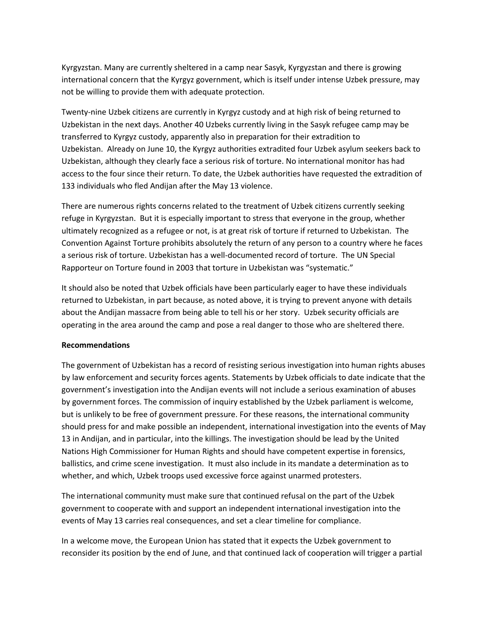Kyrgyzstan. Many are currently sheltered in a camp near Sasyk, Kyrgyzstan and there is growing international concern that the Kyrgyz government, which is itself under intense Uzbek pressure, may not be willing to provide them with adequate protection.

Twenty-nine Uzbek citizens are currently in Kyrgyz custody and at high risk of being returned to Uzbekistan in the next days. Another 40 Uzbeks currently living in the Sasyk refugee camp may be transferred to Kyrgyz custody, apparently also in preparation for their extradition to Uzbekistan. Already on June 10, the Kyrgyz authorities extradited four Uzbek asylum seekers back to Uzbekistan, although they clearly face a serious risk of torture. No international monitor has had access to the four since their return. To date, the Uzbek authorities have requested the extradition of 133 individuals who fled Andijan after the May 13 violence.

There are numerous rights concerns related to the treatment of Uzbek citizens currently seeking refuge in Kyrgyzstan. But it is especially important to stress that everyone in the group, whether ultimately recognized as a refugee or not, is at great risk of torture if returned to Uzbekistan. The Convention Against Torture prohibits absolutely the return of any person to a country where he faces a serious risk of torture. Uzbekistan has a well-documented record of torture. The UN Special Rapporteur on Torture found in 2003 that torture in Uzbekistan was "systematic."

It should also be noted that Uzbek officials have been particularly eager to have these individuals returned to Uzbekistan, in part because, as noted above, it is trying to prevent anyone with details about the Andijan massacre from being able to tell his or her story. Uzbek security officials are operating in the area around the camp and pose a real danger to those who are sheltered there.

#### **Recommendations**

The government of Uzbekistan has a record of resisting serious investigation into human rights abuses by law enforcement and security forces agents. Statements by Uzbek officials to date indicate that the government's investigation into the Andijan events will not include a serious examination of abuses by government forces. The commission of inquiry established by the Uzbek parliament is welcome, but is unlikely to be free of government pressure. For these reasons, the international community should press for and make possible an independent, international investigation into the events of May 13 in Andijan, and in particular, into the killings. The investigation should be lead by the United Nations High Commissioner for Human Rights and should have competent expertise in forensics, ballistics, and crime scene investigation. It must also include in its mandate a determination as to whether, and which, Uzbek troops used excessive force against unarmed protesters.

The international community must make sure that continued refusal on the part of the Uzbek government to cooperate with and support an independent international investigation into the events of May 13 carries real consequences, and set a clear timeline for compliance.

In a welcome move, the European Union has stated that it expects the Uzbek government to reconsider its position by the end of June, and that continued lack of cooperation will trigger a partial